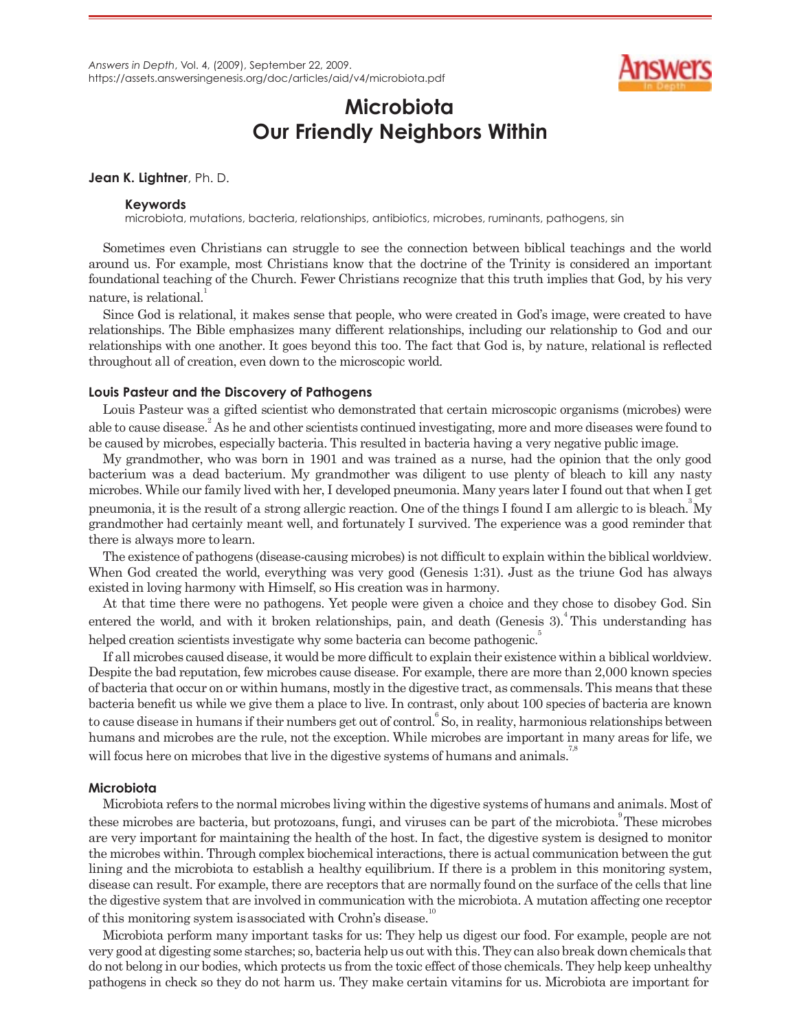

# **Microbiota Our Friendly Neighbors Within**

### **Jean K. Lightner**, Ph. D.

#### **Keywords**

microbiota, mutations, bacteria, relationships, antibiotics, microbes, ruminants, pathogens, sin

Sometimes even Christians can struggle to see the connection between biblical teachings and the world around us. For example, most Christians know that the doctrine of the Trinity is considered an important foundational teaching of the Church. Fewer Christians recognize that this truth implies that God, by his very nature, is relational.

Since God is relational, it makes sense that people, who were created in God's image, were created to have relationships. The Bible emphasizes many different relationships, including our relationship to God and our relationships with one another. It goes beyond this too. The fact that God is, by nature, relational is reflected throughout all of creation, even down to the microscopic world.

## **Louis Pasteur and the Discovery of Pathogens**

Louis Pasteur was a gifted scientist who demonstrated that certain microscopic organisms (microbes) were able to cause disease.<sup>2</sup> As he and other scientists continued investigating, more and more diseases were found to be caused by microbes, especially bacteria. This resulted in bacteria having a very negative public image.

My grandmother, who was born in 1901 and was trained as a nurse, had the opinion that the only good bacterium was a dead bacterium. My grandmother was diligent to use plenty of bleach to kill any nasty microbes. While our family lived with her, I developed pneumonia. Many years later I found outthat when I get pneumonia, it is the result of a strong allergic reaction. One of the things I found I am allergic to is bleach.<sup>3</sup> My grandmother had certainly meant well, and fortunately I survived. The experience was a good reminder that there is always more to learn.

The existence of pathogens (disease-causing microbes) is not difficult to explain within the biblical worldview. When God created the world, everything was very good (Genesis 1:31). Just as the triune God has always existed in loving harmony with Himself, so His creation was in harmony.

At that time there were no pathogens. Yet people were given a choice and they chose to disobey God. Sin entered the world, and with it broken relationships, pain, and death (Genesis  $3$ ).<sup>4</sup> This understanding has helped creation scientists investigate why some bacteria can become pathogenic.<sup>5</sup>

If all microbes caused disease, it would be more difficult to explain their existence within a biblical worldview. Despite the bad reputation, few microbes cause disease. For example, there are more than 2,000 known species of bacteria that occur on or within humans, mostly in the digestive tract, as commensals. This means thatthese bacteria benefit us while we give them a place to live. In contrast, only about 100 species of bacteria are known to cause disease in humans if their numbers get out of control. So, in reality, harmonious relationships between humans and microbes are the rule, not the exception. While microbes are important in many areas for life, we will focus here on microbes that live in the digestive systems of humans and animals.<sup>7,8</sup>

# **Microbiota**

Microbiota refers to the normal microbes living within the digestive systems of humans and animals. Most of these microbes are bacteria, but protozoans, fungi, and viruses can be part of the microbiota.<sup>9</sup> These microbes are very important for maintaining the health of the host. In fact, the digestive system is designed to monitor the microbes within. Through complex biochemical interactions,there is actual communication between the gut lining and the microbiota to establish a healthy equilibrium. If there is a problem in this monitoring system, disease can result. For example, there are receptors that are normally found on the surface of the cells that line the digestive system that are involved in communication with the microbiota. A mutation affecting one receptor of this monitoring system is associated with Crohn's disease.

Microbiota perform many important tasks for us: They help us digest our food. For example, people are not very good at digesting some starches; so, bacteria helpus outwith this.They can also break down chemicals that do not belong in our bodies, which protects us from the toxic effect of those chemicals. They help keep unhealthy pathogens in check so they do not harm us. They make certain vitamins for us. Microbiota are important for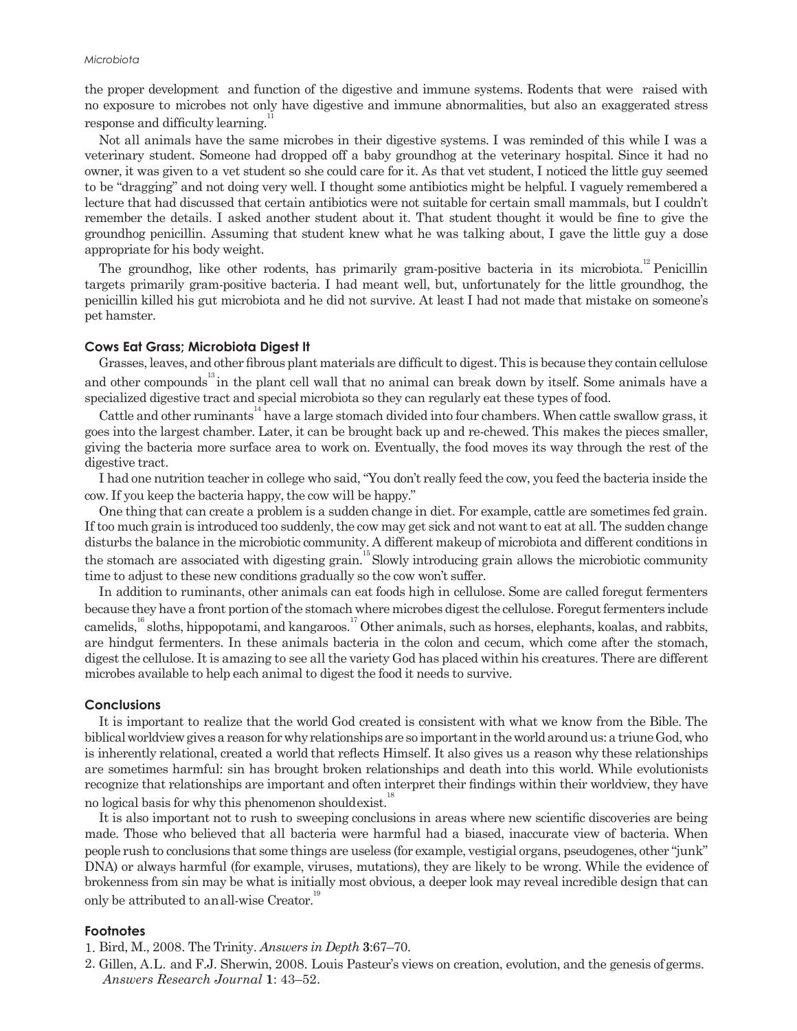the proper development and function of the digestive and immune systems. Rodents that were raised with no exposure to microbes not only have digestive and immune abnormalities, but also an exaggerated stress response and difficulty learning.

Not all animals have the same microbes in their digestive systems. I was reminded of this while I was a veterinary student. Someone had dropped off a baby groundhog at the veterinary hospital. Since it had no owner, it was given to a vet student so she could care for it. As that vet student, I noticed the little guy seemed to be "dragging" and not doing very well. I thought some antibiotics might be helpful. I vaguely remembered a lecture that had discussed that certain antibiotics were not suitable for certain small mammals, but I couldn't remember the details. I asked another student about it. That student thought it would be fine to give the groundhog penicillin. Assuming that student knew what he was talking about, I gave the little guy a dose appropriate for his body weight.

The groundhog, like other rodents, has primarily gram-positive bacteria in its microbiota.<sup>12</sup> Penicillin targets primarily gram-positive bacteria. I had meant well, but, unfortunately for the little groundhog, the penicillin killed his gut microbiota and he did not survive. At least I had not made that mistake on someone's pet hamster.

#### **Cows Eat Grass; Microbiota Digest It**

Grasses, leaves, and other fibrous plant materials are difficult to digest. This is because they contain cellulose and other compounds<sup>13</sup> in the plant cell wall that no animal can break down by itself. Some animals have a specialized digestive tract and special microbiota so they can regularly eat these types of food.

Cattle and other ruminants<sup>14</sup> have a large stomach divided into four chambers. When cattle swallow grass, it goes into the largest chamber. Later, it can be brought back up and re-chewed. This makes the pieces smaller, giving the bacteria more surface area to work on. Eventually, the food moves its way through the rest of the digestive tract.

I had one nutrition teacher in college who said, "You don't really feed the cow, you feed the bacteria inside the cow. If you keep the bacteria happy, the cow will be happy."

One thing that can create a problem is a sudden change in diet. For example, cattle are sometimes fed grain. If too much grain is introduced too suddenly, the cow may get sick and not want to eat at all. The sudden change disturbs the balance in the microbiotic community. A different makeup of microbiota and different conditions in the stomach are associated with digesting grain.<sup>15</sup> Slowly introducing grain allows the microbiotic community time to adjust to these new conditions gradually so the cow won't suffer.

In addition to ruminants, other animals can eat foods high in cellulose. Some are called foregut fermenters because they have a front portion of the stomach where microbes digest the cellulose. Foregut fermenters include camelids,<sup>16</sup> sloths, hippopotami, and kangaroos.<sup>17</sup> Other animals, such as horses, elephants, koalas, and rabbits, are hindgut fermenters. In these animals bacteria in the colon and cecum, which come after the stomach, digestthe cellulose. Itis amazing to see all the variety God has placed within his creatures. There are different microbes available to help each animal to digest the food it needs to survive.

### **Conclusions**

It is important to realize that the world God created is consistent with what we know from the Bible. The biblical worldview gives a reason for why relationships are so important in the world around us: a triune God, who is inherently relational, created a world that reflects Himself. It also gives us a reason why these relationships are sometimes harmful: sin has brought broken relationships and death into this world. While evolutionists recognize that relationships are important and often interpret their findings within their worldview, they have no logical basis for why this phenomenon should exist.<sup>1</sup>

It is also important not to rush to sweeping conclusions in areas where new scientific discoveries are being made. Those who believed that all bacteria were harmful had a biased, inaccurate view of bacteria. When people rush to conclusions that some things are useless (for example, vestigial organs, pseudogenes, other "junk" DNA) or always harmful (for example, viruses, mutations), they are likely to be wrong. While the evidence of brokenness from sin may be what is initially most obvious, a deeper look may reveal incredible design that can only be attributed to anall-wise Creator.<sup>19</sup>

#### **Footnotes**

- 1. Bird, M., 2008. The Trinity. *Answers in Depth* **3**:67–70.
- 2. Gillen, A.L. and F.J. Sherwin, 2008. Louis Pasteur's views on creation, evolution, and the genesis ofgerms. *Answers Research Journal* **1**: 43–52.